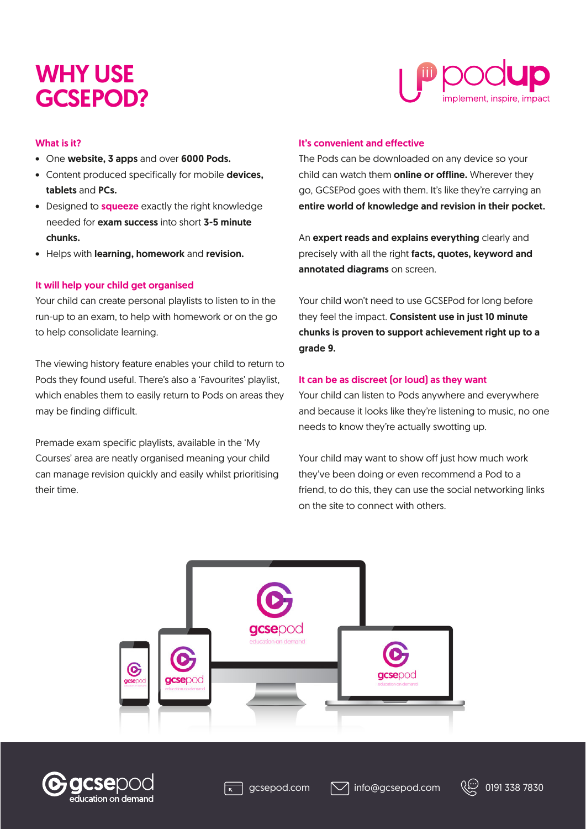# WHY USE GCSEPOD?



# What is it?

- One website, 3 apps and over 6000 Pods.
- Content produced specifically for mobile devices, tablets and PCs.
- Designed to **squeeze** exactly the right knowledge needed for exam success into short 3-5 minute chunks.
- Helps with learning, homework and revision.

## It will help your child get organised

Your child can create personal playlists to listen to in the run-up to an exam, to help with homework or on the go to help consolidate learning.

The viewing history feature enables your child to return to Pods they found useful. There's also a 'Favourites' playlist, which enables them to easily return to Pods on areas they may be finding difficult.

Premade exam specific playlists, available in the 'My Courses' area are neatly organised meaning your child can manage revision quickly and easily whilst prioritising their time.

### It's convenient and effective

The Pods can be downloaded on any device so your child can watch them **online or offline.** Wherever they go, GCSEPod goes with them. It's like they're carrying an entire world of knowledge and revision in their pocket.

An expert reads and explains everything clearly and precisely with all the right facts, quotes, keyword and annotated diagrams on screen.

Your child won't need to use GCSEPod for long before they feel the impact. Consistent use in just 10 minute chunks is proven to support achievement right up to a grade 9.

## It can be as discreet (or loud) as they want

Your child can listen to Pods anywhere and everywhere and because it looks like they're listening to music, no one needs to know they're actually swotting up.

Your child may want to show off just how much work they've been doing or even recommend a Pod to a friend, to do this, they can use the social networking links on the site to connect with others.





gcsepod.com  $\Box$  info@gcsepod.com  $\Diamond$  ( $\Diamond$  0191 338 7830